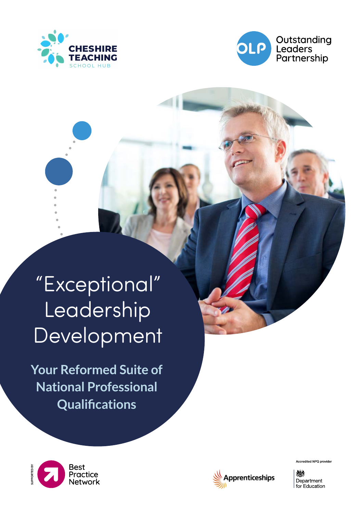



"Exceptional" Leadership Development

**Your Reformed Suite of National Professional Qualifications**





Accredited NPQ provider

燃料 Department for Education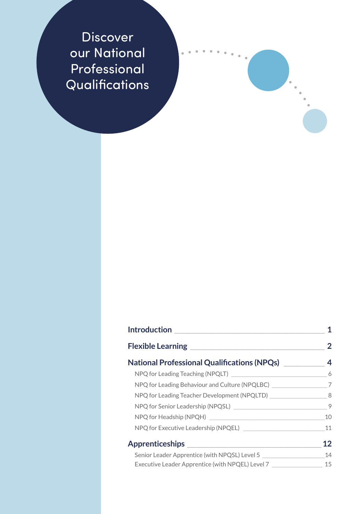Discover our National Professional Qualifications

| <b>Introduction</b><br><b>Flexible Learning</b>                           | 2   |
|---------------------------------------------------------------------------|-----|
|                                                                           |     |
|                                                                           | - 6 |
| NPQ for Leading Behaviour and Culture (NPQLBC) _________________________7 |     |
| NPQ for Leading Teacher Development (NPQLTD) 48                           |     |
|                                                                           | 9   |
|                                                                           | 10  |
| NPQ for Executive Leadership (NPQEL)                                      | 11  |
| <b>Apprenticeships</b>                                                    | 12  |
| Senior Leader Apprentice (with NPQSL) Level 5                             | 14  |
| Executive Leader Apprentice (with NPQEL) Level 7                          | 15  |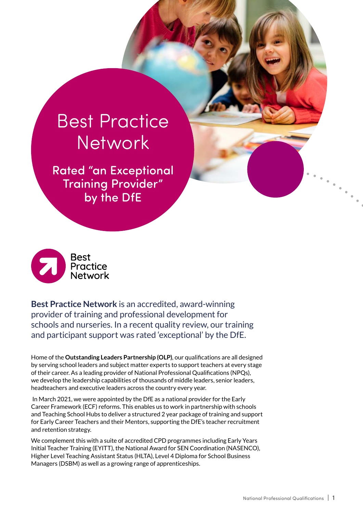# <span id="page-2-0"></span>Best Practice **Network**

Rated "an Exceptional Training Provider" by the DfE



**Best Practice Network** is an accredited, award-winning provider of training and professional development for schools and nurseries. In a recent quality review, our training and participant support was rated 'exceptional' by the DfE.

Home of the **Outstanding Leaders Partnership (OLP)**, our qualifications are all designed by serving school leaders and subject matter experts to support teachers at every stage of their career. As a leading provider of National Professional Qualifications (NPQs), we develop the leadership capabilities of thousands of middle leaders, senior leaders, headteachers and executive leaders across the country every year.

 In March 2021, we were appointed by the DfE as a national provider for the Early Career Framework (ECF) reforms. This enables us to work in partnership with schools and Teaching School Hubs to deliver a structured 2 year package of training and support for Early Career Teachers and their Mentors, supporting the DfE's teacher recruitment and retention strategy.

We complement this with a suite of accredited CPD programmes including Early Years Initial Teacher Training (EYITT), the National Award for SEN Coordination (NASENCO), Higher Level Teaching Assistant Status (HLTA), Level 4 Diploma for School Business Managers (DSBM) as well as a growing range of apprenticeships.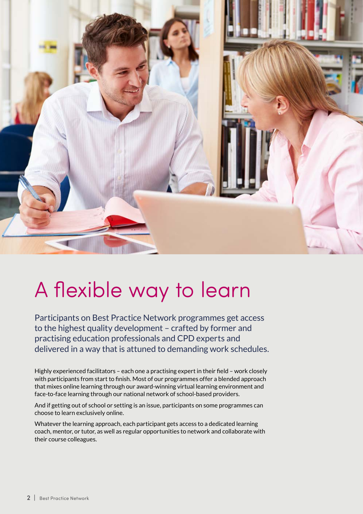<span id="page-3-0"></span>

# A flexible way to learn

Participants on Best Practice Network programmes get access to the highest quality development – crafted by former and practising education professionals and CPD experts and delivered in a way that is attuned to demanding work schedules.

Highly experienced facilitators – each one a practising expert in their field – work closely with participants from start to finish. Most of our programmes offer a blended approach that mixes online learning through our award-winning virtual learning environment and face-to-face learning through our national network of school-based providers.

And if getting out of school or setting is an issue, participants on some programmes can choose to learn exclusively online.

Whatever the learning approach, each participant gets access to a dedicated learning coach, mentor, or tutor, as well as regular opportunities to network and collaborate with their course colleagues.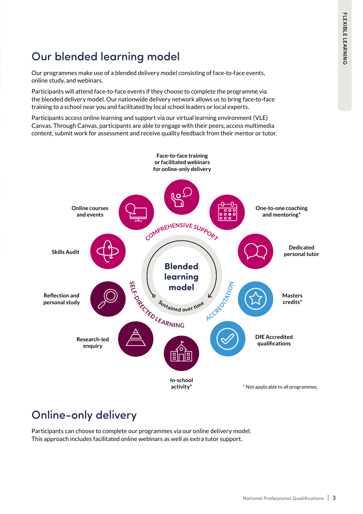### Our blended learning model

Our programmes make use of a blended delivery model consisting of face-to-face events, online study, and webinars.

Participants will attend face-to-face events if they choose to complete the programme via the blended delivery model. Our nationwide delivery network allows us to bring face-to-face training to a school near you and facilitated by local school leaders or local experts.

Participants access online learning and support via our virtual learning environment (VLE) Canvas. Through Canvas, participants are able to engage with their peers, access multimedia content, submit work for assessment and receive quality feedback from their mentor or tutor.



## Online-only delivery

Participants can choose to complete our programmes via our online delivery model. This approach includes facilitated online webinars as well as extra tutor support.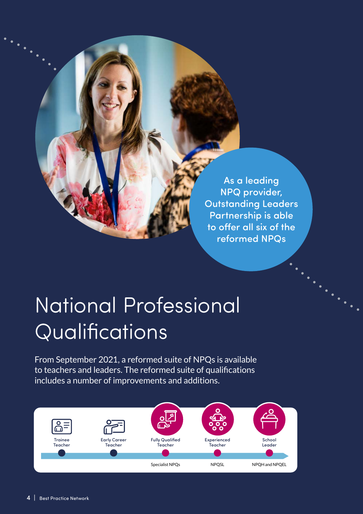<span id="page-5-0"></span>As a leading NPQ provider, Outstanding Leaders Partnership is able to offer all six of the reformed NPQs

# National Professional Qualifications

From September 2021, a reformed suite of NPQs is available to teachers and leaders. The reformed suite of qualifications includes a number of improvements and additions.

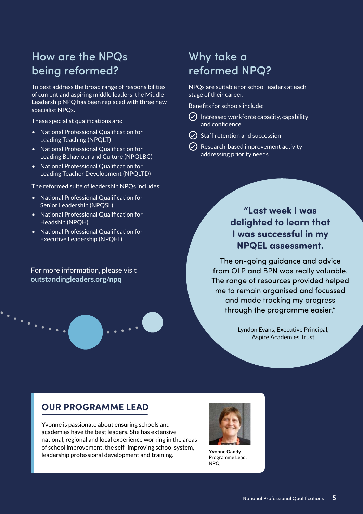### How are the NPQs being reformed?

To best address the broad range of responsibilities of current and aspiring middle leaders, the Middle Leadership NPQ has been replaced with three new specialist NPQs.

These specialist qualifications are:

- National Professional Qualification for Leading Teaching (NPQLT)
- National Professional Qualification for Leading Behaviour and Culture (NPQLBC)
- National Professional Qualification for Leading Teacher Development (NPQLTD)

The reformed suite of leadership NPQs includes:

- National Professional Qualification for Senior Leadership (NPQSL)
- National Professional Qualification for Headship (NPQH)
- National Professional Qualification for Executive Leadership (NPQEL)

For more information, please visit **[outstandingleaders.org/npq](http://outstandingleaders.org/npq)**

 $\ddots$  . . . . .

#### Why take a reformed NPQ?

NPQs are suitable for school leaders at each stage of their career.

Benefits for schools include:

- $\odot$  Increased workforce capacity, capability and confidence
- $\circlearrowleft$  Staff retention and succession
- $\odot$  Research-based improvement activity addressing priority needs

#### **"Last week I was delighted to learn that I was successful in my NPQEL assessment.**

The on-going guidance and advice from OLP and BPN was really valuable. The range of resources provided helped me to remain organised and focussed and made tracking my progress through the programme easier."

> Lyndon Evans, Executive Principal, Aspire Academies Trust

#### **OUR PROGRAMME LEAD**

Yvonne is passionate about ensuring schools and academies have the best leaders. She has extensive national, regional and local experience working in the areas of school improvement, the self -improving school system, leadership professional development and training.



**Yvonne Gandy** Programme Lead: NPQ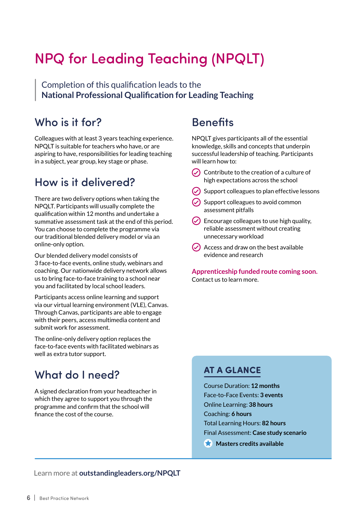## <span id="page-7-0"></span>NPQ for Leading Teaching (NPQLT)

Completion of this qualification leads to the **National Professional Qualification for Leading Teaching** 

#### Who is it for?

Colleagues with at least 3 years teaching experience. NPQLT is suitable for teachers who have, or are aspiring to have, responsibilities for leading teaching in a subject, year group, key stage or phase.

#### How is it delivered?

There are two delivery options when taking the NPQLT. Participants will usually complete the qualification within 12 months and undertake a summative assessment task at the end of this period. You can choose to complete the programme via our traditional blended delivery model or via an online-only option.

Our blended delivery model consists of 3 face-to-face events, online study, webinars and coaching. Our nationwide delivery network allows us to bring face-to-face training to a school near you and facilitated by local school leaders.

Participants access online learning and support via our virtual learning environment (VLE), Canvas. Through Canvas, participants are able to engage with their peers, access multimedia content and submit work for assessment.

The online-only delivery option replaces the face-to-face events with facilitated webinars as well as extra tutor support.

#### What do I need?

A signed declaration from your headteacher in which they agree to support you through the programme and confirm that the school will finance the cost of the course.

#### **Benefits**

NPQLT gives participants all of the essential knowledge, skills and concepts that underpin successful leadership of teaching. Participants will learn how to:

- $\odot$  Contribute to the creation of a culture of high expectations across the school
- $\odot$  Support colleagues to plan effective lessons
- $\circlearrowright$  Support colleagues to avoid common assessment pitfalls
- $\vee$  Encourage colleagues to use high quality, reliable assessment without creating unnecessary workload
- $\odot$  Access and draw on the best available evidence and research

**Apprenticeship funded route coming soon.**  Contact us to learn more.

#### **AT A GLANCE**

Course Duration: **12 months** Face-to-Face Events: **3 events** Online Learning: **38 hours** Coaching: **6 hours** Total Learning Hours: **82 hours** Final Assessment: **Case study scenario**

**Masters credits available** 

Learn more at **[outstandingleaders.org/NPQLT](http://outstandingleaders.org/NPQLT)**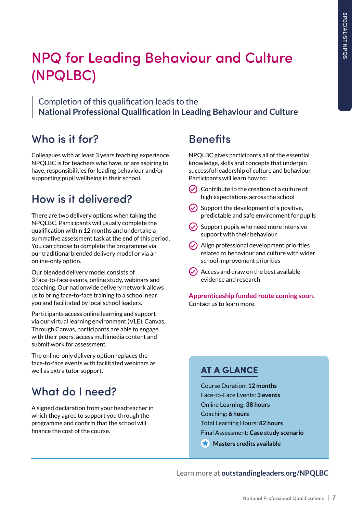## <span id="page-8-0"></span>NPQ for Leading Behaviour and Culture (NPQLBC)

Completion of this qualification leads to the **National Professional Qualification in Leading Behaviour and Culture**

#### Who is it for?

Colleagues with at least 3 years teaching experience. NPQLBC is for teachers who have, or are aspiring to have, responsibilities for leading behaviour and/or supporting pupil wellbeing in their school.

#### How is it delivered?

There are two delivery options when taking the NPQLBC. Participants will usually complete the qualification within 12 months and undertake a summative assessment task at the end of this period. You can choose to complete the programme via our traditional blended delivery model or via an online-only option.

Our blended delivery model consists of 3 face-to-face events, online study, webinars and coaching. Our nationwide delivery network allows us to bring face-to-face training to a school near you and facilitated by local school leaders.

Participants access online learning and support via our virtual learning environment (VLE), Canvas. Through Canvas, participants are able to engage with their peers, access multimedia content and submit work for assessment.

The online-only delivery option replaces the face-to-face events with facilitated webinars as well as extra tutor support.

#### What do I need?

A signed declaration from your headteacher in which they agree to support you through the programme and confirm that the school will finance the cost of the course.

### **Benefits**

NPQLBC gives participants all of the essential knowledge, skills and concepts that underpin successful leadership of culture and behaviour. Participants will learn how to:

- $\odot$  Contribute to the creation of a culture of high expectations across the school
- $\odot$  Support the development of a positive, predictable and safe environment for pupils
- $\circ$  Support pupils who need more intensive support with their behaviour
- $\odot$  Align professional development priorities related to behaviour and culture with wider school improvement priorities
- $\odot$  Access and draw on the best available evidence and research

**Apprenticeship funded route coming soon.**  Contact us to learn more.

#### **AT A GLANCE**

Course Duration: **12 months** Face-to-Face Events: **3 events** Online Learning: **38 hours** Coaching: **6 hours** Total Learning Hours: **82 hours** Final Assessment: **Case study scenario Masters credits available** 

Learn more at **[outstandingleaders.org/NPQLBC](http://outstandingleaders.org/NPQLBC)**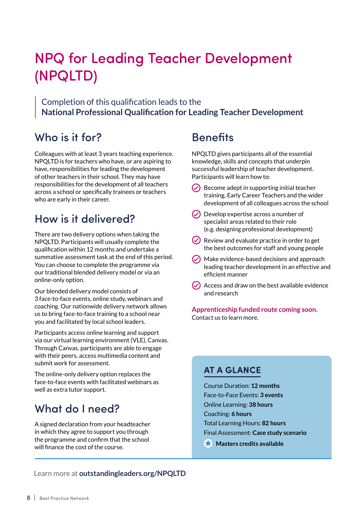## <span id="page-9-0"></span>NPQ for Leading Teacher Development (NPQLTD)

Completion of this qualification leads to the **National Professional Qualification for Leading Teacher Development** 

#### Who is it for?

Colleagues with at least 3 years teaching experience. NPQLTD is for teachers who have, or are aspiring to have, responsibilities for leading the development of other teachers in their school. They may have responsibilities for the development of all teachers across a school or specifically trainees or teachers who are early in their career.

#### How is it delivered?

There are two delivery options when taking the NPQLTD. Participants will usually complete the qualification within 12 months and undertake a summative assessment task at the end of this period. You can choose to complete the programme via our traditional blended delivery model or via an online-only option.

Our blended delivery model consists of 3 face-to-face events, online study, webinars and coaching. Our nationwide delivery network allows us to bring face-to-face training to a school near you and facilitated by local school leaders.

Participants access online learning and support via our virtual learning environment (VLE), Canvas. Through Canvas, participants are able to engage with their peers, access multimedia content and submit work for assessment.

The online-only delivery option replaces the face-to-face events with facilitated webinars as well as extra tutor support.

#### What do I need?

A signed declaration from your headteacher in which they agree to support you through the programme and confirm that the school will finance the cost of the course.

#### **Benefits**

NPQLTD gives participants all of the essential knowledge, skills and concepts that underpin successful leadership of teacher development. Participants will learn how to:

- $\triangledown$  Become adept in supporting initial teacher training, Early Career Teachers and the wider development of all colleagues across the school
- $\triangledown$  Develop expertise across a number of specialist areas related to their role (e.g. designing professional development)
- $\vee$  Review and evaluate practice in order to get the best outcomes for staff and young people
- $\odot$  Make evidence-based decisions and approach leading teacher development in an effective and efficient manner
- $\triangledown$  Access and draw on the best available evidence and research

**Apprenticeship funded route coming soon.**  Contact us to learn more.

#### **AT A GLANCE**

Course Duration: **12 months** Face-to-Face Events: **3 events** Online Learning: **38 hours** Coaching: **6 hours** Total Learning Hours: **82 hours** Final Assessment: **Case study scenario**

**Masters credits available** 

Learn more at **[outstandingleaders.org/NPQLTD](http://outstandingleaders.org/NPQLTD)**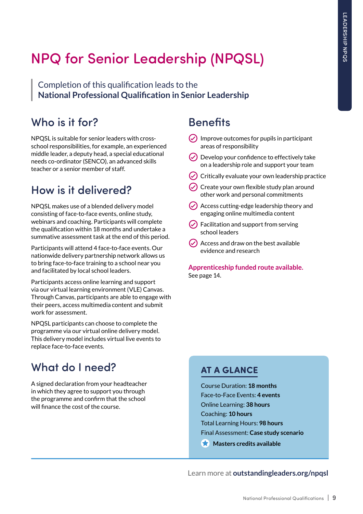## <span id="page-10-0"></span>NPQ for Senior Leadership (NPQSL)

Completion of this qualification leads to the **National Professional Qualification in Senior Leadership**

#### Who is it for?

NPQSL is suitable for senior leaders with crossschool responsibilities, for example, an experienced middle leader, a deputy head, a special educational needs co-ordinator (SENCO), an advanced skills teacher or a senior member of staff.

### How is it delivered?

NPQSL makes use of a blended delivery model consisting of face-to-face events, online study, webinars and coaching. Participants will complete the qualification within 18 months and undertake a summative assessment task at the end of this period.

Participants will attend 4 face-to-face events. Our nationwide delivery partnership network allows us to bring face-to-face training to a school near you and facilitated by local school leaders.

Participants access online learning and support via our virtual learning environment (VLE) Canvas. Through Canvas, participants are able to engage with their peers, access multimedia content and submit work for assessment.

NPQSL participants can choose to complete the programme via our virtual online delivery model. This delivery model includes virtual live events to replace face-to-face events.

## What do I need?

A signed declaration from your headteacher in which they agree to support you through the programme and confirm that the school will finance the cost of the course.

### **Benefits**

- $\odot$  Improve outcomes for pupils in participant areas of responsibility
- $\odot$  Develop your confidence to effectively take on a leadership role and support your team
- $\circledcirc$  Critically evaluate your own leadership practice
- $\odot$  Create your own flexible study plan around other work and personal commitments
- $\vee$  Access cutting-edge leadership theory and engaging online multimedia content
- $\odot$  Facilitation and support from serving school leaders
- $\odot$  Access and draw on the best available evidence and research

**[Apprenticeship funded route available.](#page-15-0)**  [See page 14.](#page-15-0)

#### **AT A GLANCE**

Course Duration: **18 months** Face-to-Face Events: **4 events** Online Learning: **38 hours** Coaching: **10 hours** Total Learning Hours: **98 hours** Final Assessment: **Case study scenario Masters credits available** 

Learn more at **[outstandingleaders.org/npqsl](http://outstandingleaders.org/npqsl)**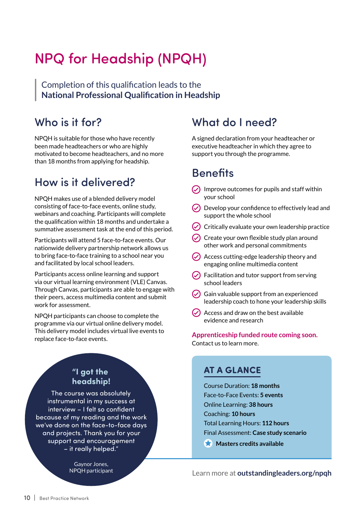## <span id="page-11-0"></span>NPQ for Headship (NPQH)

Completion of this qualification leads to the **National Professional Qualification in Headship** 

#### Who is it for?

NPQH is suitable for those who have recently been made headteachers or who are highly motivated to become headteachers, and no more than 18 months from applying for headship.

#### How is it delivered?

NPQH makes use of a blended delivery model consisting of face-to-face events, online study, webinars and coaching. Participants will complete the qualification within 18 months and undertake a summative assessment task at the end of this period.

Participants will attend 5 face-to-face events. Our nationwide delivery partnership network allows us to bring face-to-face training to a school near you and facilitated by local school leaders.

Participants access online learning and support via our virtual learning environment (VLE) Canvas. Through Canvas, participants are able to engage with their peers, access multimedia content and submit work for assessment.

NPQH participants can choose to complete the programme via our virtual online delivery model. This delivery model includes virtual live events to replace face-to-face events.

#### **"I got the headship!**

The course was absolutely instrumental in my success at interview – I felt so confident because of my reading and the work we've done on the face-to-face days and projects. Thank you for your support and encouragement – it really helped."

> Gaynor Jones, NPQH participant

#### What do I need?

A signed declaration from your headteacher or executive headteacher in which they agree to support you through the programme.

#### **Benefits**

- $\odot$  Improve outcomes for pupils and staff within your school
- $\odot$  Develop your confidence to effectively lead and support the whole school
- $\triangledown$  Critically evaluate your own leadership practice
- $\circlearrowright$  Create your own flexible study plan around other work and personal commitments
- $\odot$  Access cutting-edge leadership theory and engaging online multimedia content
- $\odot$  Facilitation and tutor support from serving school leaders
- $\odot$  Gain valuable support from an experienced leadership coach to hone your leadership skills
- $\odot$  Access and draw on the best available evidence and research

**Apprenticeship funded route coming soon.**  Contact us to learn more.

#### **AT A GLANCE**

Course Duration: **18 months** Face-to-Face Events: **5 events** Online Learning: **38 hours** Coaching: **10 hours** Total Learning Hours: **112 hours** Final Assessment: **Case study scenario**

**Masters credits available** 

Learn more at **[outstandingleaders.org/npqh](http://outstandingleaders.org/npqh)**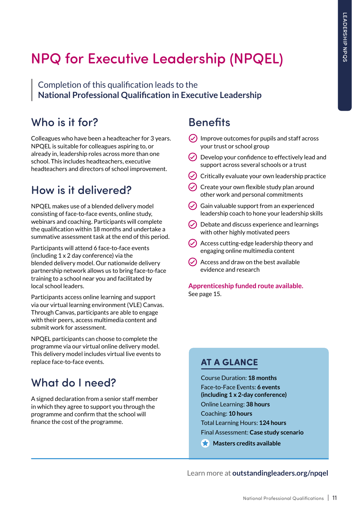## <span id="page-12-0"></span>NPQ for Executive Leadership (NPQEL)

Completion of this qualification leads to the **National Professional Qualification in Executive Leadership** 

#### Who is it for?

Colleagues who have been a headteacher for 3 years. NPQEL is suitable for colleagues aspiring to, or already in, leadership roles across more than one school. This includes headteachers, executive headteachers and directors of school improvement.

## How is it delivered?

NPQEL makes use of a blended delivery model consisting of face-to-face events, online study, webinars and coaching. Participants will complete the qualification within 18 months and undertake a summative assessment task at the end of this period.

Participants will attend 6 face-to-face events (including 1 x 2 day conference) via the blended delivery model. Our nationwide delivery partnership network allows us to bring face-to-face training to a school near you and facilitated by local school leaders.

Participants access online learning and support via our virtual learning environment (VLE) Canvas. Through Canvas, participants are able to engage with their peers, access multimedia content and submit work for assessment.

NPQEL participants can choose to complete the programme via our virtual online delivery model. This delivery model includes virtual live events to replace face-to-face events.

### What do I need?

A signed declaration from a senior staff member in which they agree to support you through the programme and confirm that the school will finance the cost of the programme.

### **Benefits**

- $\circledcirc$  Improve outcomes for pupils and staff across your trust or school group
- $(\checkmark)$  Develop your confidence to effectively lead and support across several schools or a trust
- $\circlearrowleft$  Critically evaluate your own leadership practice
- $\odot$  Create your own flexible study plan around other work and personal commitments
- $\circ$  Gain valuable support from an experienced leadership coach to hone your leadership skills
- $\odot$  Debate and discuss experience and learnings with other highly motivated peers
- $\circlearrowright$  Access cutting-edge leadership theory and engaging online multimedia content
- $\odot$  Access and draw on the best available evidence and research

**[Apprenticeship funded route available.](#page-16-0)**  [See page 15.](#page-16-0)

#### **AT A GLANCE**

Course Duration: **18 months** Face-to-Face Events: **6 events (including 1 x 2-day conference)** Online Learning: **38 hours** Coaching: **10 hours** Total Learning Hours: **124 hours** Final Assessment: **Case study scenario**

**Masters credits available** 

Learn more at **[outstandingleaders.org/npqel](http://outstandingleaders.org/npqel)**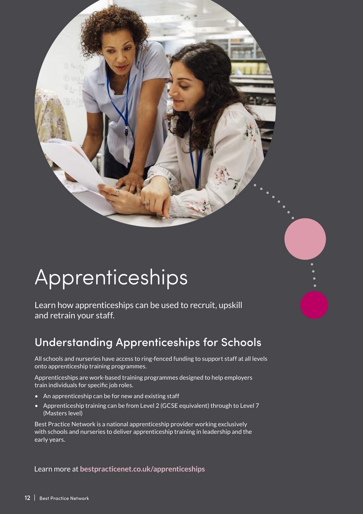# <span id="page-13-0"></span>Apprenticeships

Learn how apprenticeships can be used to recruit, upskill and retrain your staff.

## Understanding Apprenticeships for Schools

All schools and nurseries have access to ring-fenced funding to support staff at all levels onto apprenticeship training programmes.

Apprenticeships are work-based training programmes designed to help employers train individuals for specific job roles.

- An apprenticeship can be for new and existing staff
- Apprenticeship training can be from Level 2 (GCSE equivalent) through to Level 7 (Masters level)

Best Practice Network is a national apprenticeship provider working exclusively with schools and nurseries to deliver apprenticeship training in leadership and the early years.

Learn more at **[bestpracticenet.co.uk/apprenticeships](http://bestpracticenet.co.uk/apprenticeships)**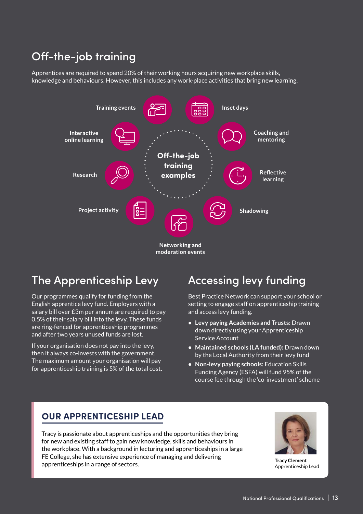### Off-the-job training

Apprentices are required to spend 20% of their working hours acquiring new workplace skills, knowledge and behaviours. However, this includes any work-place activities that bring new learning.



#### The Apprenticeship Levy

Our programmes qualify for funding from the English apprentice levy fund. Employers with a salary bill over £3m per annum are required to pay 0.5% of their salary bill into the levy. These funds are ring-fenced for apprenticeship programmes and after two years unused funds are lost.

If your organisation does not pay into the levy, then it always co-invests with the government. The maximum amount your organisation will pay for apprenticeship training is 5% of the total cost.

## Accessing levy funding

Best Practice Network can support your school or setting to engage staff on apprenticeship training and access levy funding.

- **• Levy paying Academies and Trusts:** Drawn down directly using your Apprenticeship Service Account
- **• Maintained schools (LA funded):** Drawn down by the Local Authority from their levy fund
- **• Non-levy paying schools:** Education Skills Funding Agency (ESFA) will fund 95% of the course fee through the 'co-investment' scheme

#### **OUR APPRENTICESHIP LEAD**

Tracy is passionate about apprenticeships and the opportunities they bring for new and existing staff to gain new knowledge, skills and behaviours in the workplace. With a background in lecturing and apprenticeships in a large FE College, she has extensive experience of managing and delivering apprenticeships in a range of sectors.<br>Apprenticeships in a range of sectors.



Apprenticeship Lead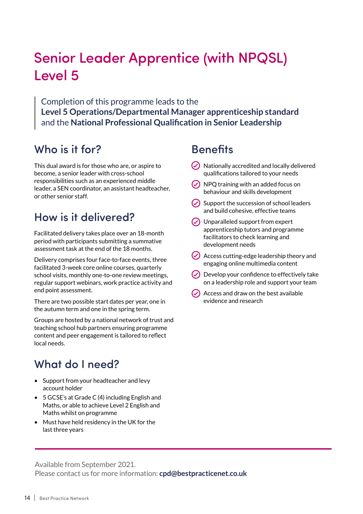## <span id="page-15-0"></span>Senior Leader Apprentice (with NPQSL) Level 5

Completion of this programme leads to the **Level 5 Operations/Departmental Manager apprenticeship standard**  and the **National Professional Qualification in Senior Leadership**

#### Who is it for?

This dual award is for those who are, or aspire to become, a senior leader with cross-school responsibilities such as an experienced middle leader, a SEN coordinator, an assistant headteacher, or other senior staff.

#### How is it delivered?

Facilitated delivery takes place over an 18-month period with participants submitting a summative assessment task at the end of the 18 months.

Delivery comprises four face-to-face events, three facilitated 3-week core online courses, quarterly school visits, monthly one-to-one review meetings, regular support webinars, work practice activity and end point assessment.

There are two possible start dates per year, one in the autumn term and one in the spring term.

Groups are hosted by a national network of trust and teaching school hub partners ensuring programme content and peer engagement is tailored to reflect local needs.

#### What do I need?

- Support from your headteacher and levy account holder
- 5 GCSE's at Grade C (4) including English and Maths, or able to achieve Level 2 English and Maths whilst on programme
- Must have held residency in the UK for the last three years

#### **Benefits**

- $\odot$  Nationally accredited and locally delivered qualifications tailored to your needs
- $\circ$  NPQ training with an added focus on behaviour and skills development
- $\circ$  Support the succession of school leaders and build cohesive, effective teams
- $\circ$  Unparalleled support from expert apprenticeship tutors and programme facilitators to check learning and development needs
- Access cutting-edge leadership theory and engaging online multimedia content
- $\vee$  Develop your confidence to effectively take on a leadership role and support your team
- $\odot$  Access and draw on the best available evidence and research

Available from September 2021.

Please contact us for more information: **[cpd@bestpracticenet.co.uk](mailto:cpd@bestpracticenet.co.uk)**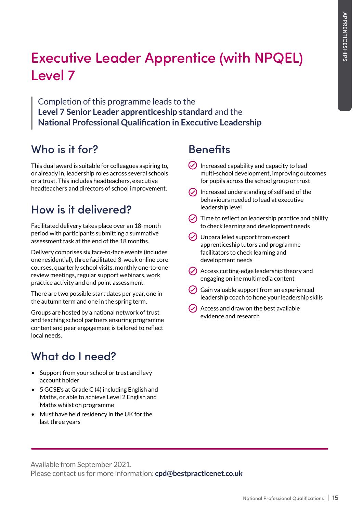## <span id="page-16-0"></span>Executive Leader Apprentice (with NPQEL) Level 7

Completion of this programme leads to the **Level 7 Senior Leader apprenticeship standard** and the **National Professional Qualification in Executive Leadership**

#### Who is it for?

This dual award is suitable for colleagues aspiring to, or already in, leadership roles across several schools or a trust. This includes headteachers, executive headteachers and directors of school improvement.

### How is it delivered?

Facilitated delivery takes place over an 18-month period with participants submitting a summative assessment task at the end of the 18 months.

Delivery comprises six face-to-face events (includes one residential), three facilitated 3-week online core courses, quarterly school visits, monthly one-to-one review meetings, regular support webinars, work practice activity and end point assessment.

There are two possible start dates per year, one in the autumn term and one in the spring term.

Groups are hosted by a national network of trust and teaching school partners ensuring programme content and peer engagement is tailored to reflect local needs.

## What do I need?

- Support from your school or trust and levy account holder
- 5 GCSE's at Grade C (4) including English and Maths, or able to achieve Level 2 English and Maths whilst on programme
- Must have held residency in the UK for the last three years

#### **Benefits**

- $\odot$  Increased capability and capacity to lead multi-school development, improving outcomes for pupils across the school group or trust
- $\odot$  Increased understanding of self and of the behaviours needed to lead at executive leadership level
- $\odot$  Time to reflect on leadership practice and ability to check learning and development needs
- $\vee$  Unparalleled support from expert apprenticeship tutors and programme facilitators to check learning and development needs
- $\bigcirc$  Access cutting-edge leadership theory and engaging online multimedia content
- $\triangledown$  Gain valuable support from an experienced leadership coach to hone your leadership skills
- $\circ$  Access and draw on the best available evidence and research

Available from September 2021.

Please contact us for more information: **[cpd@bestpracticenet.co.uk](mailto:cpd@bestpracticenet.co.uk)**